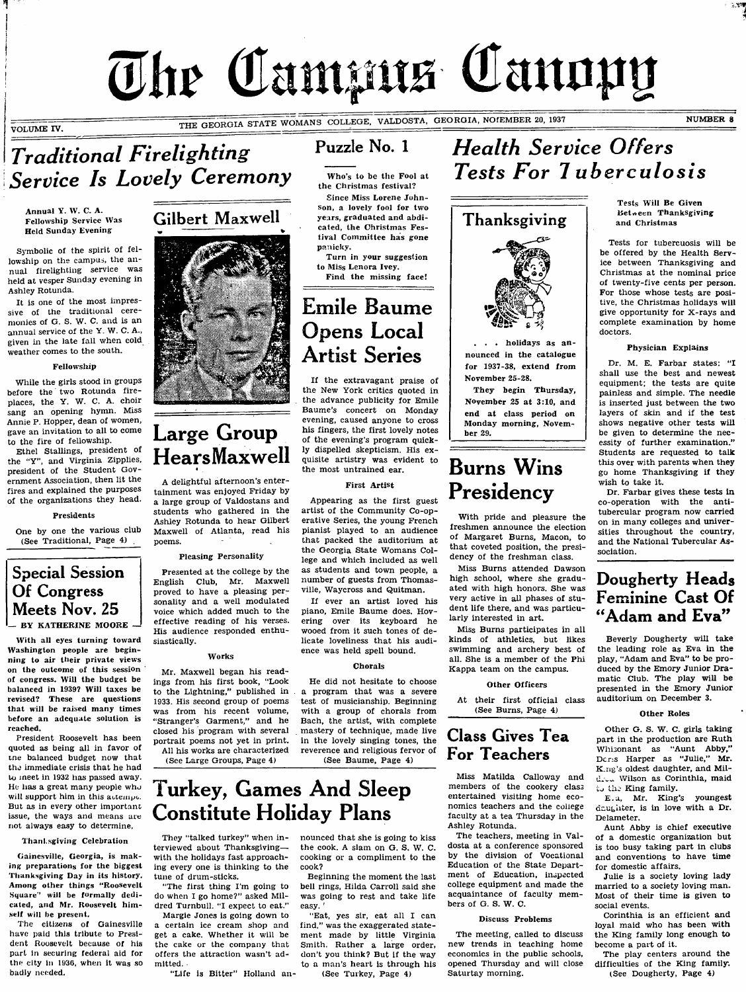# The Campus Canopy

VOLUME IV.

THE GEORGIA STATE WOMANS COLLEGE, VALDOSTA, GEORGIA, NOFEMBER 20, 1937 NUMBER 8

## **Traditional Firelighting** Service Is Lovely Ceremony

Annual Y. W. C. A. Fellowship Service Was Held Sunday Evening

Symbolic of the spirit of fellowship on the campus, the annual firelighting service was heid at vesper Sunday evening in Ashley Rotunda.

It is one of the most impressive of the traditional ceremonies of G. S. W. C. and is an annual service of the Y. W. C. A., given in the late fall when cold weather comes to the south.

#### Fellowship

While the girls stood in groups before the two Rotunda fireplaces, the Y. W. C. A. choir sang an opening hymn. Miss Annie P. Hopper, dean of women, gave an invitation to all to come to the fire of fellowship.

Ethel Stallings, president of the "Y", and Virginia Zipplies, president of the Student Government Association, then lit the fires and explained the purposes of the organizations they head.

#### Presidents

One by one the various club (See Traditional, Page 4)

## Special Session Of Congress Meets Nov. 25  $-$  BY KATHERINE MOORE.

With all eyes turning toward Washington people are beginning to air their private views on the outcome of this session of congress. Will the budget be balanced in 1939? Will taxes be revised? These are questions that will be raised many times before an adequate solution is reached.

President Roosevelt has been quoted as being all in favor of tne balanced budget now that the immediate crisis that he had to meet in 1932 has passed away. He has a great many people who will support him in this actempt. But as in every other important issue, the ways and means are not always easy to determine.

#### Than! sgiving Celebration

Gainesville, Georgia, is making preparations for the biggest Thanksgiving Day in its history. Among other things ''Roosevelt Square' wii! be formally dedicated, and Mr. Roosevelt himself will be present.

The citizens of Gainesville have paid this tribute to President Roosevelt because of his part In securing federal aid for the city in 1936, when it was so badly needed.



## Large Group Hears Maxwell

A delightful afternoon's entertainment was enjoyed Friday by a large group of Valdostans and students who gathered in the Ashley Rotunda to hear Gilbert Maxwell of Atlanta, read his poems.

#### Pleasing Personality

Presented at the college by the English Club, Mr. Maxwell proved to have a pleasing personality and a well modulated voice which added much to the effective reading of his verses. His audience responded enthusiastically.

#### Works

Mr. Maxwell began his readings from his first book, "Look to the Lightning," published in 1933. His second group of poems was from his recent volume, "Stranger's Garment," and he closed his program with several portrait poems not yet in print. All his works are characterized

(See Large Groups, Page 4)

Puzzle No. 1

Who's to be the Fool at the Christmas festival?

Since Miss Lorene Johnson, a lovely fool for two years, graduated and abdicated, the Christmas Festival Committee has gone panicky.

Turn in your suggestion to Miss Lenora Ivey. Find the missing face!

Emile Baume Opens Local Artist Series

If the extravagant praise of the New York critics quoted in the advance publicity for Emile Baume's concert on Monday evening, caused anyone to cross his fingers, the first lovely notes of the evening's program quickly dispelled skepticism. His exquisite artistry was evident to the most untrained ear.

#### First Artist

Appearing as the first guest artist of the Community Co-operative Series, the young French pianist played to an audience that packed the auditorium at the Georgia State Womans College and which included as well as students and town people, a number of guests from Thomasville, Waycross and Quitman.

If ever an artist loved his piano, Emile Baume does. Hovering over its keyboard he wooed from it such tones of delicate loveliness that his audience was held spell bound.

#### Chorals

He did not hesitate to choose a program that was a severe test of musicianship. Beginning with a group of chorals from Bach, the artist, with complete mastery of technique, made live in the lovely singing tones, the reverence and religious fervor of (See Baume, Page 4)

## Health Service Offers **Tests For Tuberculosis**



. holidays as announced in the catalogue for 1937-38, extend from November 25-28.

They begin Thursday, November 25 at 3:10, and end at class period on Monday morning, November 29.

## Burns Wins Presidency

With pride and pleasure the freshmen announce the election of Margaret Burns, Macon, to that coveted position, the presidency of the freshman class.

Miss Burns attended Dawson high school, where she graduated with high honors. She was very active in all phases of student life there, and was particularly interested in art.

Miss Burns participates in all kinds of athletics, but likes swimming and archery best of all. She is a member of the Phi Kappa team on the campus.

#### Other Officers

At their first official class (See Burns, Page 4)

## Class Gives Tea For Teachers

Miss Matilda Calloway and members of the cookery class entertained visiting home economics teachers and the coiiege faculty at a tea Thursday in the Ashley Rotunda.

The teachers, meeting in Valdosta at a conference sponsored by the division of Vocational Education of the State Department of Education, inspected college equipment and made the acquaintance of faculty members of G. S. W. C.

#### Discuss Problems

The meeting, called to discuss new trends in teaching home economics in the public schools, opened Thursday and will close Saturtay morning.

Tests Will Be Given Between Thanksgiving and Christmas

Tests for tubercuosis will be be offered by the Health Service between Thanksgiving and Christmas at the nominal price of twenty-five cents per person. For those whose tests are positive, the Christmas holidays will give opportunity for X-rays and complete examination by home doctors.

#### Physician Expiains

Dr. M. E. Farbar states: "I shall use the best and newest equipment; the tests are quite painless and simple. The needle is inserted just between the two layers of skin and if the test shows negative other tests wili be given to determine the necessity of further examination." Students are requested to talk this over with parents when they go home Thanksgiving if they wish to take it.

Dr. Farbar gives these tests in co-operation with the antitubercular program now carried on in many colleges and universities throughout the country, and the National Tubercular Association.

## Dougherty Heads Feminine Cast Of "Adam and Eva"

Beverly Dougherty will take the leading role as Eva in the play, "Adam and Eva" to be produced by the Emory Junior Dramatic Club. The play will be presented in the Emory Junior auditorium on December 3.

#### Other Roles

Other G. S. W. C. girls taking part in the production are Ruth Whisonant as "Aunt Abby," Dcr:s Harper as "Julie," Mr. K.ng's oldest daughter, and Mil-Wilson as Corinthia, maid tu the King family.

E. a, Mr. King's youngest daughter, is in love with a Dr. Delameter.

Aunt Abby is chief executive of a domestic organization but is too busy taking part in clubs and conventions to have time for domestic affairs.

Julie is a society loving lady married to a society loving man. Most of their time is given to social events.

Corinthia is an efficient and loyal maid who has been with the King family long enough to become a part of it.

The play centers around the difficulties of the King family. (See Dougherty, Page 4)



They "talked turkey" when interviewed about Thanksgiving with the holidays fast approaching every one is thinking to the tune of drum-sticks.

"The first thing I'm going to do when I go home?" asked Mildred Turnbull. "I expect to eat."

Margie Jones is going down to a certain ice cream shop and get a cake. Whether it will be the cake or the company that offers the attraction wasn't admitted.

"Life is Bitter" Holland an-

## nounced that she is going to kiss

the cook. A slam on G. S. W. C. cooking or a compliment to the cook?

Beginning the moment the last bell rings, Hilda Carroll said she was going to rest and take life easy.

"Eat, yes sir, eat all I can find," was the exaggerated statement made by little Virginia Smith. Rather a large order, don't you think? But if the way to a man's heart is through his (See Turkey, Page 4)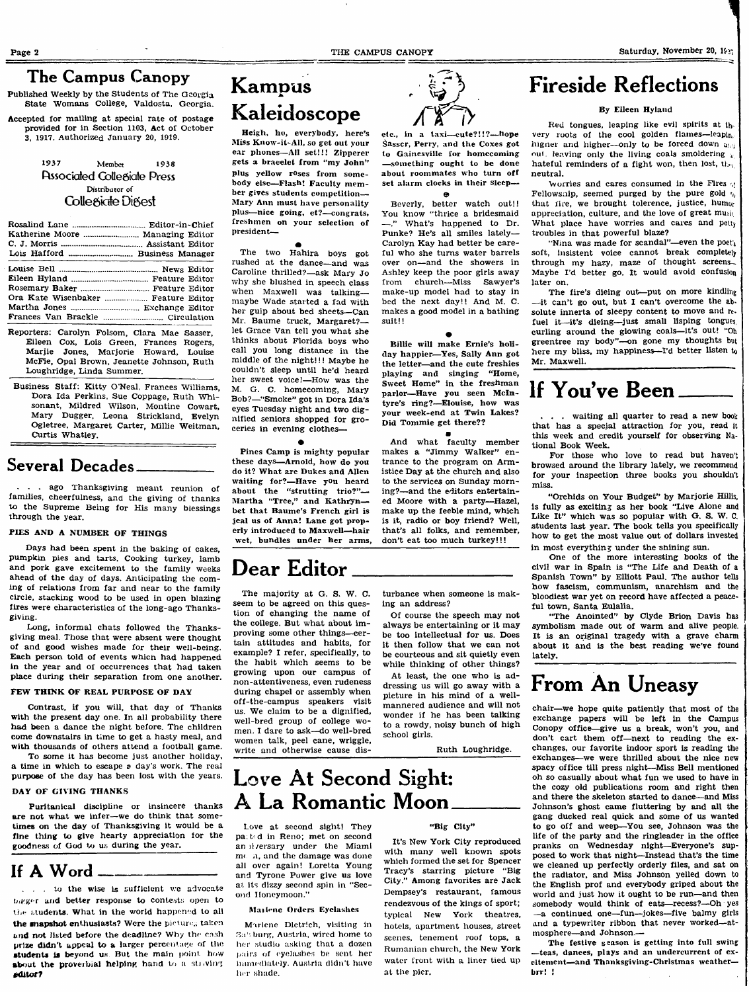#### The Campus Canopy

Published Weekly by the Students of The Georgia State Womans College, Valdosta, Georgia.

Accepted for mailing at special rate of postage provided for in Section 1103, Act of October 3, 1917. Authorized January 20, 1919.

#### $1937$  Member 1938 **Fusociated Collegiate Press Distributor of** Collegiate Digest

| Ora Kate Wisenbaker  Feature Editor |  |
|-------------------------------------|--|
|                                     |  |
|                                     |  |

- Reporters: Carolyn Folsom, Clara Mae Sasser, Eileen Cox, Lois Green, Frances Rogers, Marjie Jones, Marjorie Howard, Louise McFie, Opal Brown, Jeanette Johnson, Ruth Loughridge, Linda Summer.
- Business Staff: Kitty O'Neal, Frances Williams, Dora Ida Perkins, Sue Coppage, Ruth Whisonant, Mildred Wilson, Montine Cowart, Mary Dugger, Leona Strickland, Evelyn Ogletree, Margaret Carter, Millie Weitman, Curtis Whatley.

## Several Decades

. ago Thanksgiving meant reunion of families, cheerfulness, and the giving of thanks to the Supreme Being for His many blessings through the year.

#### PIES AND A NUMBER OF THINGS

Days had been spent in the baking of cakes, pumpkin pies and tarts. Cooking turkey, lamb and pork gave excitement to the family weeks ahead of the day of days. Anticipating the coming of relations from far and near to the family circle, stacking wood to be used in open blazing fires were characteristics of the long-ago Thanksgiving.

Long, informal chats followed the Thanksgiving meal. Those that were absent were thought of and good wishes made for their well-being. Each person told of events which had happened in the year and of occurrences that had taken place during their separation from one another.

#### FEW THINK OF REAL PURPOSE OF DAY

Contrast, if you will, that day of Thanks with the present day one. In all probability there had been a dance the night before. The children come downstairs in time to get a hasty meal, and with thousands of others attend a football game.

To some it has become just another holiday, a time in which to escape a day's work. The real purpose of the day has been lost with the years.

#### DAY OF GfVING THANKS

Puritanical discipline or insincere thanks are not what we infer—we do think that sometimes on the day of Thanksgiving it would be a fine thing to give hearty appreciation for the goodness of God to us during the year.

#### If A Word

. . . to the wise Is sufficient wc advocate bleger and better response to contests open to the students. What in the world happened to all the mapshot enthusiasts? Were the pictures taken and not listed before the deadline? Why the cash prize didn't appeal to a larger percentage of the students is beyond us. But the main point how about the proverbial helping hand to a straving  $e$  ditor?

## Kampus Kaleidoscope

Heigh, ho, everybody, here^s Miss Kuow-it-AH, so get out your ear phones—All set!!! Zipperer gets a bracelet from "my John" plus yellow roses from somebody else—Flash! Faculty member gives students competition— Mary Ann must have personality plus—nice going, et?—congrats, freshmen on your selection of president—

The two Hahira boys got rushed at the dance—and was Caroline thrilled?—ask Mary Jo why she blushed in speech class when Maxwell was talkingmaybe Wade started a fad with her gulp about bed sheets—Can Mr. Baume truck, Margaret? let Grace Van tell you what she thinks about Florida boys who call you long distance in the middle of the night!!! Maybe he couldn't sleep until he'd heard her sweet voice!—How was the M. G. C. homecoming, Mary Bob?—"Smoke" got in Dora Ida's eyes Tuesday night and two dignified seniors shopped for groceries in evening clothes—

Pines Camp is mighty popular these days—Arnold, how do you do it? What are Dukes and Allen waiting for?—Have yOu heard about the "strutting trio?"— Martha "Tree," and Kathryn bet that Baume's French girl is jeal us of Amna! Lane got properly introduced to Maxwell—^hair wet, bundles under her arms,

 $\bullet$ 

## Dear Editor

The majority at G. S. W. C. seem to be agreed on this question of changing the name of the college. But what about improving some other things—certain attitudes and habits, for example? I refer, specifically, to the habit which seems to be growing upon our campus of non-attentiveness, even rudeness during chapel or assembly when off-the-campus speakers visit us. We claim to be a dignified, well-bred group of college women. I dare to ask—do well-bred women talk, peel cane, wriggle, write and otherwise cause disturbance when someone is making an address?

Of course the speech may not always be entertaining or it may be too intellectual for us. Does it then follow that we can not be courteous and sit quietly even while thinking of other things?

At least, the one who is addressing us will go away with a picture in his mind of a wellmannered audience and will not wonder if he has been talking to a rowdy, noisy bunch of high school girls.

Ruth Loughridge.

## Love At Second Sight: A La Romantic Moon

Love at second sight! They pated in Reno; met on second an *il rersary* under the Miaml me n, and the damage was done all over again! Loretta Young and Tyrone Power give us love at its dizzy second spin in "Second Honeymoon."

#### Mailene Orders Eyelashes

Marlene Dletrich, visiting in 3a' burg, Austria, wired home to her studio asking that a dozen pairs of eyelashes be sent her inunediately. Austria didn't have her shade.

#### "Big City"

It's New York City reproduced with many well known spots which formed the set for Spencer Tracy's starring picture "Big City." Among favorites are Jack Dempsey's restaurant, famous rendezvous of the kings of sport; typical New York theatres, hotels, apartment houses, street scenes, tenement roof tops, a Rumanian church, the New York water front with a liner tied up at the pier.

## Fireside Reflections

#### By Eileen Hyland

Red tongues, leaping like evil spirits at th. very roots of the cool golden flames—leapin, higner and higher—only to be forced down  $a_{ij}$ out leaving only the living coals smoldering  $\frac{1}{4}$ hateful reminders of a fight won, then lost,  $th_{\text{H}_1}$ neutral.

worries and cares consumed in the Fires  $\mu$ Fellowsnip, seemed purged by the pure gold  $y_i$ that fire, we brought tolerance, justice, humor appreciation, culture, and the love of great musi: What place have worries and cares and petty troubles in that powerful blaze?

"Nina was made for scandal"—even the poet $_k$ soft, insistent voice cannot break completely through my hazy, maze of thought screens-Maybe I'd better go. It would avoid confusion later on.

The fire's dieing out—put on more kindling —it can't go out, but I can't overcome the absolute innerta of sleepy content to move and  $r_{\text{t}}$ . fuel it-it's dieing-just small lisping tongues, curling around the glowing coals—it's out! "Oh greentree my body"—on gone my thoughts but here my bliss, my happiness—I'd better listen to Mr. Maxwell.

## If You've Been

. waiting all quarter to read a new book that has a special attraction for you, read it this week and credit yourself for observing National Book Week.

For those who love to read but haven't browsed around the library lately, we recommend for your inspection three books you shouldn't miss.

"Orchids on Your Budget" by Marjorie Hillis, is fully as exciting as her book "Live Alone and Like It" which was so popular with G. S. W. C. students last year. The book tells you specifically how to get the most value out of dollars invested in most everything under the shining sun.

One of the more interesting books of the civil war in Spain is "The Life and Death of a Spanish Town" by Elliott Paul. The author tells how fascism, communism, anarchism and the bloodiest war yet on record have affected a peaceful town, Santa Eulalia.

"The Anointed" by Clyde Brion Davis has symbolism made out of warm and alive people. It is an original tragedy with a grave charm about it and is the best reading we've found lately.

## From An Uneasy

chair—^we hope quite patiently that most of the exchange papers will be left in the Campus Conopy office—give us a break, won't you, and don't cart them off-next to reading the exchanges, our favorite indoor sport is reading the exchanges—we were thrilled about the nice new spacy office till press night—Miss Bell mentioned oh so casually about what fun we used to have in the cozy old publications room and right then and there the skeleton started to dance—and Miss Johnson's ghost came fluttering by and all the gang ducked real quick and some of us wanted to go off and weep—^You see, Johnson was the life of the party and the ringleader in the office pranks on Wednesday night—Everyone's supposed to work that night—Instead that's the time we cleaned up perfectly orderly files, and sat on the radiator, and Miss Johnson yelled down to the English prof and everybody griped about the world and just how it ought to be run—and then somebody would think of eats—recess?--Oh yes —a continued one—fun—jokes—five balmy girls and a typewriter ribbon that never worked—atmosphere—and Johnson.—

The festive season is getting into full swing teas, dances, plays and an undercurrent of excitement—and Thanksgiving-Chrlstmas weather brr! !

etc., in a taxi—cute?!!?—hope Sasser, Perry, and the Coxes got

to Gainesville for homecoming —something ought to be done about roommates who turn off set alarm clocks in their sleep— O

Beverly, better watch out!! You know "thrice a bridesmaid<br>
-" What's hannened to Dr. — What's happened to Dr. Punke? He's all smiles lately— Carolyn Kay had better be careful who she turns water barrels over on—and the showers in Ashley keep the poor girls away from church—Miss Sawyer's make-up model had to stay in bed the next day!! And M. C. makes a good model in a bathing suit!!

 $\bullet$ Billie will make Ernie's holiday happier—^Yes, Sally Ann got the letter—and the cute freshies playing and singing "Home, Sweet Home" in the freshman parlor—Have you seen McIntyre's ring?—^Elouise, how was your week-end at Twin Lakes? Did Tommie get there?? a And what faculty member makes a "Jimmy Walker" entrance to the program on Armistice Day at the church and also to the services on Sunday morning?—and the editors entertained Moore with a party—^Hazel, make up the feeble mind, which is it, radio or boy friend? Well, that's all folks, and remember, don't eat too much turkey!!!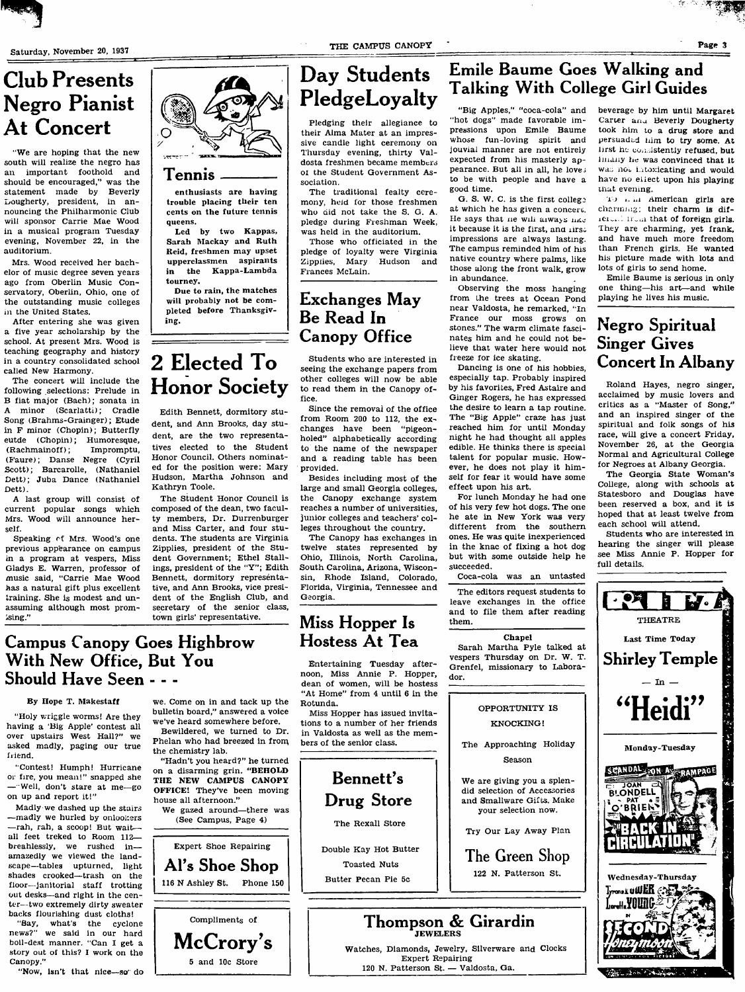auditorium.

in the United States.

called New Harmony.

Dett).

self.

ising."

friend.

Canopy."

Club Presents

Negro Pianist

"We are hoping that the new south will realize the negro has an important foothold and should be encouraged," was the statement made by Beverly Dougherty, president, in announcing the Philharmonic Club wili sponsor Carrie Mae Wood in a musical program Tuesday evening, November 22, in the

Mrs. Wood received her bachelor of music degree seven years ago from Oberlin Music Conservatory, Oberlin, Ohio, one of the outstanding music colleges

After entering she was given a five year scholarship by the school. At present Mrs. Wood is teaching geography and history in a country consolidated school

The concert will include the following selections: Prelude in B fiat major (Bach); sonata in minor (Scarlatti); Cradle Song (Brahms-Grainger); Etude in F minor (Chopin); Butterfly eutde (Chopin); Humoresque, (Rachmainoff); Impromptu, (B'aure); Danse Negre (Cyril Scott); Barcarolle, (Nathaniel Dett); Juba Dance (Nathaniel

A last group will consist of current popular songs which Mrs. Wood will announce her-

Speaking of Mrs. Wood's one previous appearance on campus in a program at vespers. Miss Gladys E. Warren, professor of music said, "Carrie Mae Wood has a natural gift plus excellent training. She is modest and unassuming although most prom-

Campus Canopy Goes Highbrow

With New Office, But You

Should Have Seen - - -

By Hope T. Makestaff

all feet treked to Room 112 breahlessly, we rushed in amazedly we viewed the landscape—tables upturned, light

out desks—and right in the center—two extremely dirty sweater backs flourishing dust cloths!

boH-dest manner. "Can I get a story out of this? I work on the

"Now, isn't that nice—so" do

on up and report it!"

At Concert

## Day Students PledgeLoyalty

Pledging their allegiance to their Aima Mater at an impressive candle light ceremony on Thursday evening, thirty Valdosta freshmen became members of the Student Government Association.

The traditional fealty ceremony, held for those freshmen who did not take the S. G. A. pledge during Freshman Week, was held in the auditorium.

Those who officiated in the pledge of loyalty were Virginia Zipplies, Mary Hudson and Frances McLain.

## Exchanges May Be Read In Canopy Office

Students who are interested in seeing the exchange papers from other colleges will now be able to read them in the Canopy office.

Since the removal of the office from Room 200 to 112, the exchanges have been "pigeonholed" alphabetically according to the name of the newspaper and a reading table has been provided.

Besides including most of the large and small Georgia colleges, the Canopy exchange system reaches a number of universities, junior colleges and teachers' colleges throughout the country.

The Canopy has exchanges in twelve states represented by Ohio, Illinois, North Carolina, South Carolina, Arizona, Wisconsin, Rhode Island, Colorado, Florida, Virginia, Tennessee and Georgia.

## Miss Hopper Is Hostess At Tea

Entertaining Tuesday afternoon, Miss Annie P. Hopper, dean of women, will be hostess "At Home" from 4 until 6 in the

Miss Hopper has issued invitations to a number of her friends in Valdosta as well as the members of the senior class.



Emile Baume Goes Walking and

pressions upon Emile Baume whose fun-loving spirit and jouviai manner are not entirely expected from his masterly appearance. But all in all, he lovej to be with people and have a good time.

G. S. W. C. is the first college at which he has given a conceri. He says that ne will always  $nKc$ it because it is the first, and lirst impressions are always lasting. The campus reminded him of his native country where palms, like those along the front walk, grow in abundance.

Observing the moss hanging from the trees at Ocean Pond near Valdosta, he remarked, "In France our moss grows on stones." The warm climate fascinates him and he could not believe that water here wouid not freeze for ice skating.

Dancing is one of his hobbies, especially tap. Probably inspired by his favorites, Fred Astaire and Ginger Rogers, he has expressed the desire to learn a tap routine. The "Big Apple" craze has just reached him for until Monday night he had thought ali apples edible. He thinks there is special talent for popular music. However, he does not play it himself for fear it would have some effect upon his art.

For lunch Monday he had one of his very few hot dogs. The one he ate in New York was very different from the southern ones. He was quite inexperienced in the knac of fixing a hot dog but with some outside help he succeeded.

Coca-cola was an untasted

The editors request students to leave exchanges in the office and to file them after reading them.

#### Chapel

Sarah Martha Pyle talked at vespers Thursday on Dr. W. T. Grenfel, missionary to Laborador.

> OPPORTUNITY IS KNOCKING!

The Approaching Holiday Season

We are giving you a splendid selection of Accessories and Smallware Gifts. Make your selection now.

Try Our Lay Away Plan

The Green Shop

122 N. Patterson St.



To *L in* American girls are charming; their charm is difthat of foreign girls. They are charming, yet frank, and have much more freedom than French girls. He wanted his picture made with lots and lots of girls to send home.

Emile Baume is serious in only one thing—his art—and while playing he lives his music.

## Negro Spiritual Singer Gives Concert In Albany

Roland Hayes, negro singer, acclaimed by music lovers and critics as a "Master of Song," and an inspired singer of the spiritual and folk songs of his race, will give a concert Friday, November 26, at the Georgia Normal and Agricultural College for Negroes at Albany Georgia.

The Georgia State Woman's College, along with schools at Statesboro and Douglas have been reserved a box, and it is hoped that at least twelve from each school will attend.

Students who are interested in hearing the singer wiil please see Miss Annie P. Hopper for full details.



"Holy wriggle worms! Are they having a 'Big Apple' contest all over upstairs West Hall?" we asked madly, paging our true

Tennis

queens.

tourney.

Kathryn Toole.

ing.

enthusiasts are having troubie placing their ten cents on the future tennis

Led by two Kappas, Sarah Mackay and Ruth Reid, freshmen may upset upperclassmen aspirants in the Kappa-Lambda

Due to rain, the matches will probably not be completed before Thanksgiv-

2 Elected To

**Honor Society** 

Edith Bennett, dormitory student, and Ann Brooks, day student, are the two representatives elected to the Student Honor Council. Others nominated for the position were: Mary Hudson, Martha Johnson and

The Student Honor Council is composed of the dean, two faculty members. Dr. Durrenburger and Miss Carter, and four students. The students are Virginia Zipplies, president of the Student Government; Ethel Stallings, president of the "Y"; Edith Bennett, dormitory representative, and Ann Brooks, vice president of the English Club, and secretary of the senior class, town girls' representative.

Expert Shoe Repairing Al's Shoe Shop 116 N Ashley St. Phone 150

Compliments of McCrory's 5 and 10c Store









Thompson & Girardin JEWELERS Watches, Diamonds, Jewelry, Silverware and Clocks Expert Repairing

120 N. Patterson St. — Valdosta, Ga.

 $\epsilon$  .